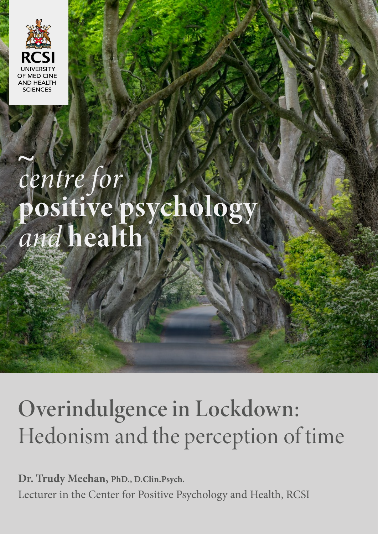

# centre for<br>positive psycholog<br>and health

## Overindulgence in Lockdown: Hedonism and the perception of time

**Dr. Trudy Meehan, PhD., D.Clin.Psych.**  Lecturer in the Center for Positive Psychology and Health, RCSI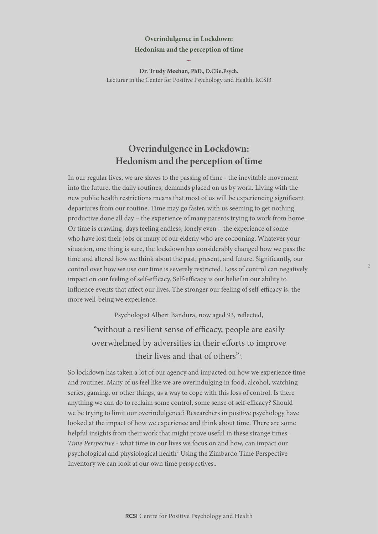#### **Overindulgence in Lockdown: Hedonism and the perception of time**

**Dr. Trudy Meehan, PhD., D.Clin.Psych.**  Lecturer in the Center for Positive Psychology and Health, RCSI3

**~** 

### Overindulgence in Lockdown: Hedonism and the perception of time

In our regular lives, we are slaves to the passing of time - the inevitable movement into the future, the daily routines, demands placed on us by work. Living with the new public health restrictions means that most of us will be experiencing significant departures from our routine. Time may go faster, with us seeming to get nothing productive done all day – the experience of many parents trying to work from home. Or time is crawling, days feeling endless, lonely even – the experience of some who have lost their jobs or many of our elderly who are cocooning. Whatever your situation, one thing is sure, the lockdown has considerably changed how we pass the time and altered how we think about the past, present, and future. Significantly, our control over how we use our time is severely restricted. Loss of control can negatively impact on our feeling of self-efficacy. Self-efficacy is our belief in our ability to influence events that affect our lives. The stronger our feeling of self-efficacy is, the more well-being we experience.

Psychologist Albert Bandura, now aged 93, reflected,

"without a resilient sense of efficacy, people are easily overwhelmed by adversities in their efforts to improve their lives and that of others"<sup>1</sup>.

So lockdown has taken a lot of our agency and impacted on how we experience time and routines. Many of us feel like we are overindulging in food, alcohol, watching series, gaming, or other things, as a way to cope with this loss of control. Is there anything we can do to reclaim some control, some sense of self-efficacy? Should we be trying to limit our overindulgence? Researchers in positive psychology have looked at the impact of how we experience and think about time. There are some helpful insights from their work that might prove useful in these strange times. *Time Perspective* - what time in our lives we focus on and how, can impact our psychological and physiological health<sup>2.</sup> Using the Zimbardo Time Perspective Inventory we can look at our own time perspectives..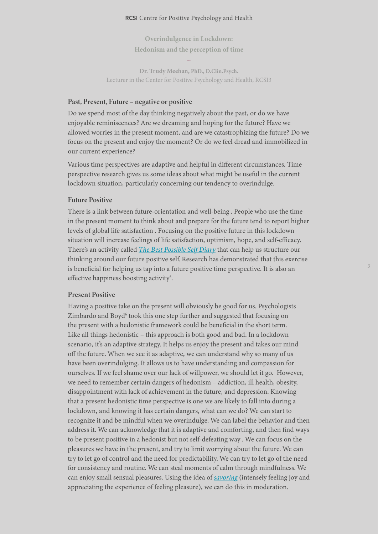#### RCSI Centre for Positive Psychology and Health

**Overindulgence in Lockdown: Hedonism and the perception of time ~** 

**Dr. Trudy Meehan, PhD., D.Clin.Psych.**  Lecturer in the Center for Positive Psychology and Health, RCSI3

#### Past, Present, Future – negative or positive

Do we spend most of the day thinking negatively about the past, or do we have enjoyable reminiscences? Are we dreaming and hoping for the future? Have we allowed worries in the present moment, and are we catastrophizing the future? Do we focus on the present and enjoy the moment? Or do we feel dread and immobilized in our current experience?

Various time perspectives are adaptive and helpful in different circumstances. Time perspective research gives us some ideas about what might be useful in the current lockdown situation, particularly concerning our tendency to overindulge.

#### Future Positive

There is a link between future-orientation and well-being . People who use the time in the present moment to think about and prepare for the future tend to report higher levels of global life satisfaction . Focusing on the positive future in this lockdown situation will increase feelings of life satisfaction, optimism, hope, and self-efficacy. There's an activity called *[The Best Possible Self Diary](https://ggia.berkeley.edu/practice/best_possible_self)* that can help us structure our thinking around our future positive self. Research has demonstrated that this exercise is beneficial for helping us tap into a future positive time perspective. It is also an effective happiness boosting activity<sup>5</sup>.

#### Present Positive

Having a positive take on the present will obviously be good for us. Psychologists Zimbardo and Boyd<sup>6</sup> took this one step further and suggested that focusing on the present with a hedonistic framework could be beneficial in the short term. Like all things hedonistic – this approach is both good and bad. In a lockdown scenario, it's an adaptive strategy. It helps us enjoy the present and takes our mind off the future. When we see it as adaptive, we can understand why so many of us have been overindulging. It allows us to have understanding and compassion for ourselves. If we feel shame over our lack of willpower, we should let it go. However, we need to remember certain dangers of hedonism – addiction, ill health, obesity, disappointment with lack of achievement in the future, and depression. Knowing that a present hedonistic time perspective is one we are likely to fall into during a lockdown, and knowing it has certain dangers, what can we do? We can start to recognize it and be mindful when we overindulge. We can label the behavior and then address it. We can acknowledge that it is adaptive and comforting, and then find ways to be present positive in a hedonist but not self-defeating way . We can focus on the pleasures we have in the present, and try to limit worrying about the future. We can try to let go of control and the need for predictability. We can try to let go of the need for consistency and routine. We can steal moments of calm through mindfulness. We can enjoy small sensual pleasures. Using the idea of *[savoring](https://greatergood.berkeley.edu/article/item/10_steps_to_savoring_the_good_things_in_life)* (intensely feeling joy and appreciating the experience of feeling pleasure), we can do this in moderation.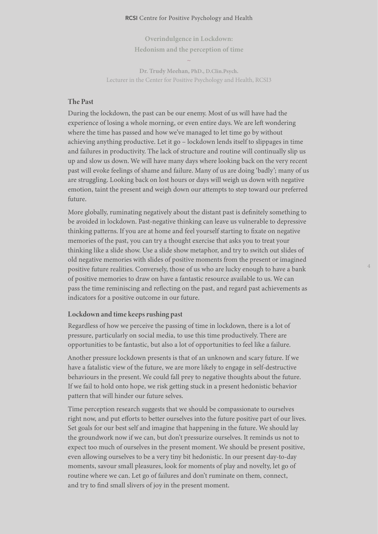#### RCSI Centre for Positive Psychology and Health

**Overindulgence in Lockdown: Hedonism and the perception of time** 

**~** 

**Dr. Trudy Meehan, PhD., D.Clin.Psych.**  Lecturer in the Center for Positive Psychology and Health, RCSI3

#### The Past

During the lockdown, the past can be our enemy. Most of us will have had the experience of losing a whole morning, or even entire days. We are left wondering where the time has passed and how we've managed to let time go by without achieving anything productive. Let it go – lockdown lends itself to slippages in time and failures in productivity. The lack of structure and routine will continually slip us up and slow us down. We will have many days where looking back on the very recent past will evoke feelings of shame and failure. Many of us are doing 'badly'; many of us are struggling. Looking back on lost hours or days will weigh us down with negative emotion, taint the present and weigh down our attempts to step toward our preferred future.

More globally, ruminating negatively about the distant past is definitely something to be avoided in lockdown. Past-negative thinking can leave us vulnerable to depressive thinking patterns. If you are at home and feel yourself starting to fixate on negative memories of the past, you can try a thought exercise that asks you to treat your thinking like a slide show. Use a slide show metaphor, and try to switch out slides of old negative memories with slides of positive moments from the present or imagined positive future realities. Conversely, those of us who are lucky enough to have a bank of positive memories to draw on have a fantastic resource available to us. We can pass the time reminiscing and reflecting on the past, and regard past achievements as indicators for a positive outcome in our future.

#### Lockdown and time keeps rushing past

Regardless of how we perceive the passing of time in lockdown, there is a lot of pressure, particularly on social media, to use this time productively. There are opportunities to be fantastic, but also a lot of opportunities to feel like a failure.

Another pressure lockdown presents is that of an unknown and scary future. If we have a fatalistic view of the future, we are more likely to engage in self-destructive behaviours in the present. We could fall prey to negative thoughts about the future. If we fail to hold onto hope, we risk getting stuck in a present hedonistic behavior pattern that will hinder our future selves.

Time perception research suggests that we should be compassionate to ourselves right now, and put efforts to better ourselves into the future positive part of our lives. Set goals for our best self and imagine that happening in the future. We should lay the groundwork now if we can, but don't pressurize ourselves. It reminds us not to expect too much of ourselves in the present moment. We should be present positive, even allowing ourselves to be a very tiny bit hedonistic. In our present day-to-day moments, savour small pleasures, look for moments of play and novelty, let go of routine where we can. Let go of failures and don't ruminate on them, connect, and try to find small slivers of joy in the present moment.